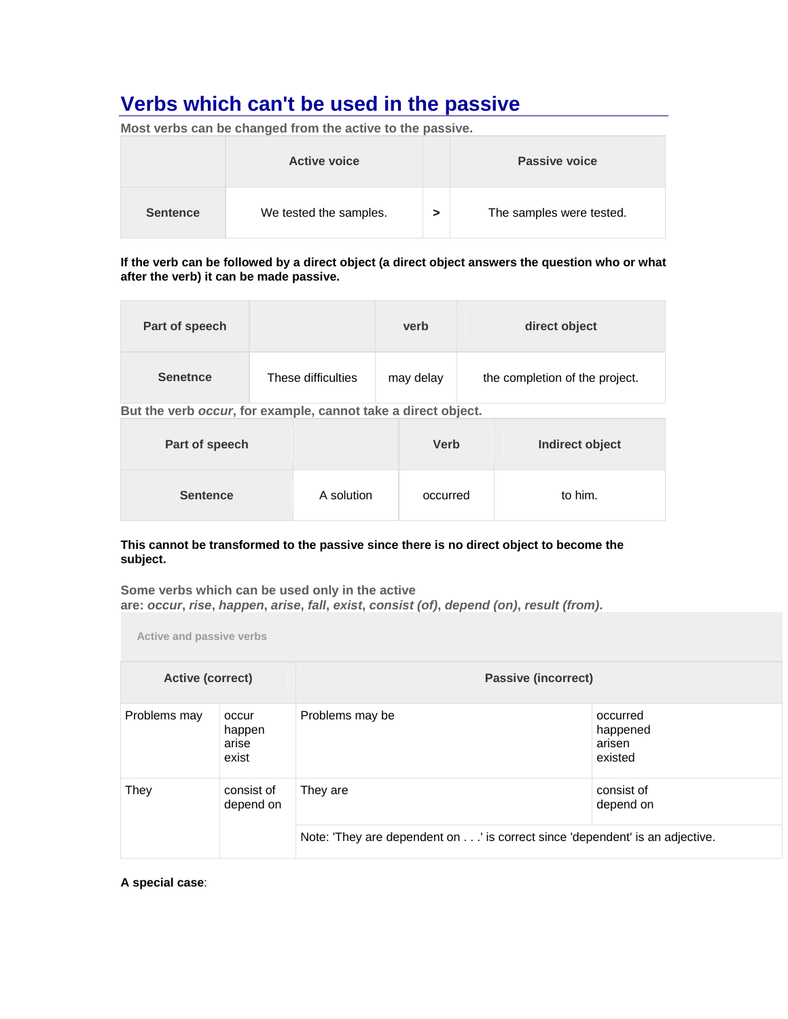# **Verbs which can't be used in the passive Metatrical Property of the passive Metatrical Property of the passive AMERS AND TO DETERMINE A UP OF THE UP OF THE UP OF THE UP OF THE UP OF THE UP OF THE UP OF THE UP OF THE UP OF**

| MOSt verbs can be changed from the active to the passive. |                        |   |                          |  |
|-----------------------------------------------------------|------------------------|---|--------------------------|--|
|                                                           | <b>Active voice</b>    |   | Passive voice            |  |
| <b>Sentence</b>                                           | We tested the samples. | > | The samples were tested. |  |

**Most verbs can be changed from the active to the passive.** 

**If the verb can be followed by a direct object (a direct object answers the question who or what after the verb) it can be made passive.**

| Part of speech  |                    | verb      | direct object                  |
|-----------------|--------------------|-----------|--------------------------------|
| <b>Senetnce</b> | These difficulties | may delay | the completion of the project. |

**But the verb** *occur***, for example, cannot take a direct object.** 

| Part of speech  |            | <b>Verb</b> | Indirect object |
|-----------------|------------|-------------|-----------------|
| <b>Sentence</b> | A solution | occurred    | to him.         |

### **This cannot be transformed to the passive since there is no direct object to become the subject.**

**Some verbs which can be used only in the active are:** *occur***,** *rise***,** *happen***,** *arise***,** *fall***,** *exist***,** *consist (of)***,** *depend (on)***,** *result (from)***.** 

**Active and passive verbs**

| Active (correct) |                                   | <b>Passive (incorrect)</b>                                                  |                                           |  |
|------------------|-----------------------------------|-----------------------------------------------------------------------------|-------------------------------------------|--|
| Problems may     | occur<br>happen<br>arise<br>exist | Problems may be                                                             | occurred<br>happened<br>arisen<br>existed |  |
| They             | consist of<br>depend on           | They are                                                                    | consist of<br>depend on                   |  |
|                  |                                   | Note: 'They are dependent on' is correct since 'dependent' is an adjective. |                                           |  |

**A special case**: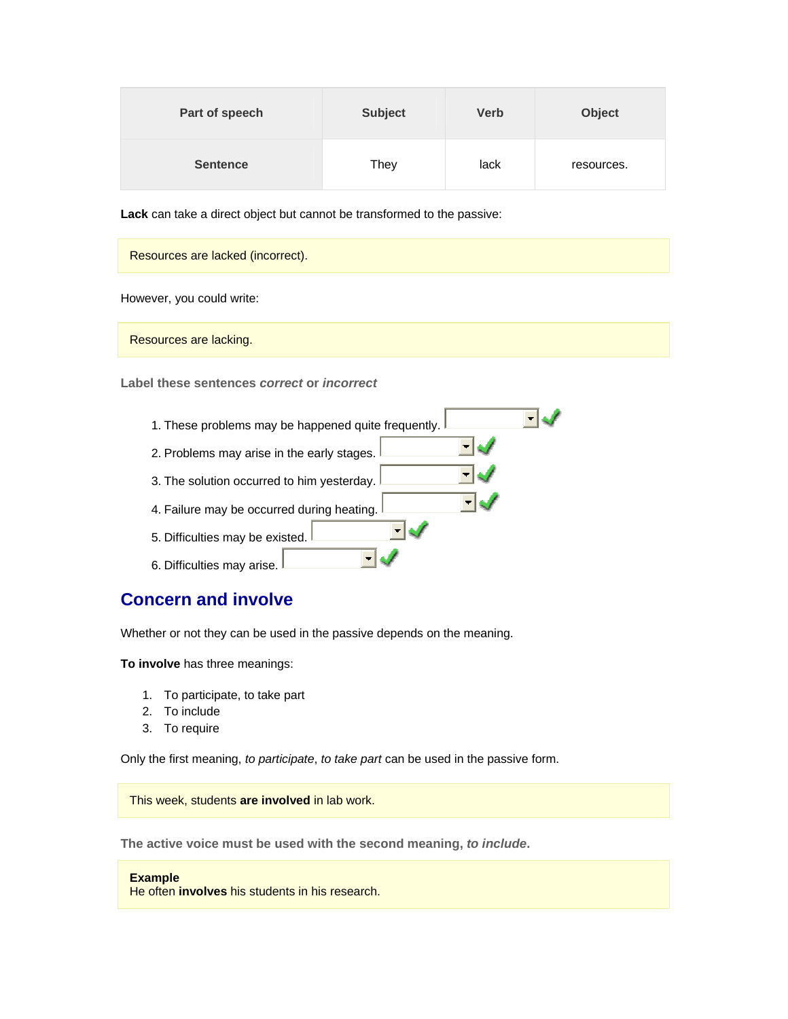| Part of speech  | <b>Subject</b> | <b>Verb</b> | <b>Object</b> |
|-----------------|----------------|-------------|---------------|
| <b>Sentence</b> | They           | lack        | resources.    |

**Lack** can take a direct object but cannot be transformed to the passive:

| Resources are lacked (incorrect). |  |
|-----------------------------------|--|
| However, you could write:         |  |

Resources are lacking.

**Label these sentences** *correct* **or** *incorrect*



## **Concern and involve**

Whether or not they can be used in the passive depends on the meaning.

**To involve** has three meanings:

- 1. To participate, to take part
- 2. To include
- 3. To require

Only the first meaning, *to participate*, *to take part* can be used in the passive form.

This week, students **are involved** in lab work.

**The active voice must be used with the second meaning,** *to include***.** 

#### **Example**

He often **involves** his students in his research.